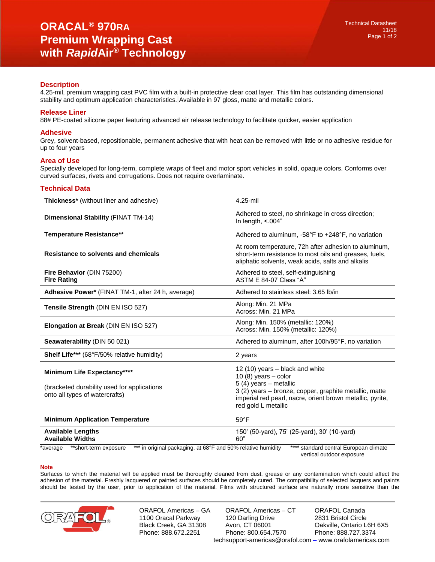## **Description**

4.25-mil, premium wrapping cast PVC film with a built-in protective clear coat layer. This film has outstanding dimensional stability and optimum application characteristics. Available in 97 gloss, matte and metallic colors.

### **Release Liner**

88# PE-coated silicone paper featuring advanced air release technology to facilitate quicker, easier application

#### **Adhesive**

Grey, solvent-based, repositionable, permanent adhesive that with heat can be removed with little or no adhesive residue for up to four years

#### **Area of Use**

Specially developed for long-term, complete wraps of fleet and motor sport vehicles in solid, opaque colors. Conforms over curved surfaces, rivets and corrugations. Does not require overlaminate.

#### **Technical Data**

| <b>Thickness*</b> (without liner and adhesive)                                                               | 4.25-mil                                                                                                                                                                                                                           |
|--------------------------------------------------------------------------------------------------------------|------------------------------------------------------------------------------------------------------------------------------------------------------------------------------------------------------------------------------------|
| Dimensional Stability (FINAT TM-14)                                                                          | Adhered to steel, no shrinkage in cross direction;<br>In length, $< 004"$                                                                                                                                                          |
| <b>Temperature Resistance**</b>                                                                              | Adhered to aluminum, -58°F to +248°F, no variation                                                                                                                                                                                 |
| <b>Resistance to solvents and chemicals</b>                                                                  | At room temperature, 72h after adhesion to aluminum,<br>short-term resistance to most oils and greases, fuels,<br>aliphatic solvents, weak acids, salts and alkalis                                                                |
| Fire Behavior (DIN 75200)<br><b>Fire Rating</b>                                                              | Adhered to steel, self-extinguishing<br>ASTM E 84-07 Class "A"                                                                                                                                                                     |
| Adhesive Power* (FINAT TM-1, after 24 h, average)                                                            | Adhered to stainless steel: 3.65 lb/in                                                                                                                                                                                             |
| Tensile Strength (DIN EN ISO 527)                                                                            | Along: Min. 21 MPa<br>Across: Min. 21 MPa                                                                                                                                                                                          |
| <b>Elongation at Break (DIN EN ISO 527)</b>                                                                  | Along: Min. 150% (metallic: 120%)<br>Across: Min. 150% (metallic: 120%)                                                                                                                                                            |
| Seawaterability (DIN 50 021)                                                                                 | Adhered to aluminum, after 100h/95°F, no variation                                                                                                                                                                                 |
| Shelf Life*** (68°F/50% relative humidity)                                                                   | 2 years                                                                                                                                                                                                                            |
| Minimum Life Expectancy****<br>(bracketed durability used for applications<br>onto all types of watercrafts) | 12 (10) years – black and white<br>10 $(8)$ years - color<br>$5(4)$ years - metallic<br>3 (2) years – bronze, copper, graphite metallic, matte<br>imperial red pearl, nacre, orient brown metallic, pyrite,<br>red gold L metallic |
| <b>Minimum Application Temperature</b>                                                                       | $59^{\circ}F$                                                                                                                                                                                                                      |
| <b>Available Lengths</b><br><b>Available Widths</b>                                                          | 150' (50-yard), 75' (25-yard), 30' (10-yard)<br>60"                                                                                                                                                                                |
| *** in original packaging, at 68°F and 50% relative humidity<br>**short-term exposure<br>*average            | standard central European climate<br>vertical outdoor exposure                                                                                                                                                                     |

#### **Note**

Surfaces to which the material will be applied must be thoroughly cleaned from dust, grease or any contamination which could affect the adhesion of the material. Freshly lacquered or painted surfaces should be completely cured. The compatibility of selected lacquers and paints should be tested by the user, prior to application of the material. Films with structured surface are naturally more sensitive than the



ORAFOL Americas – GA 1100 Oracal Parkway Black Creek, GA 31308 Phone: 888.672.2251